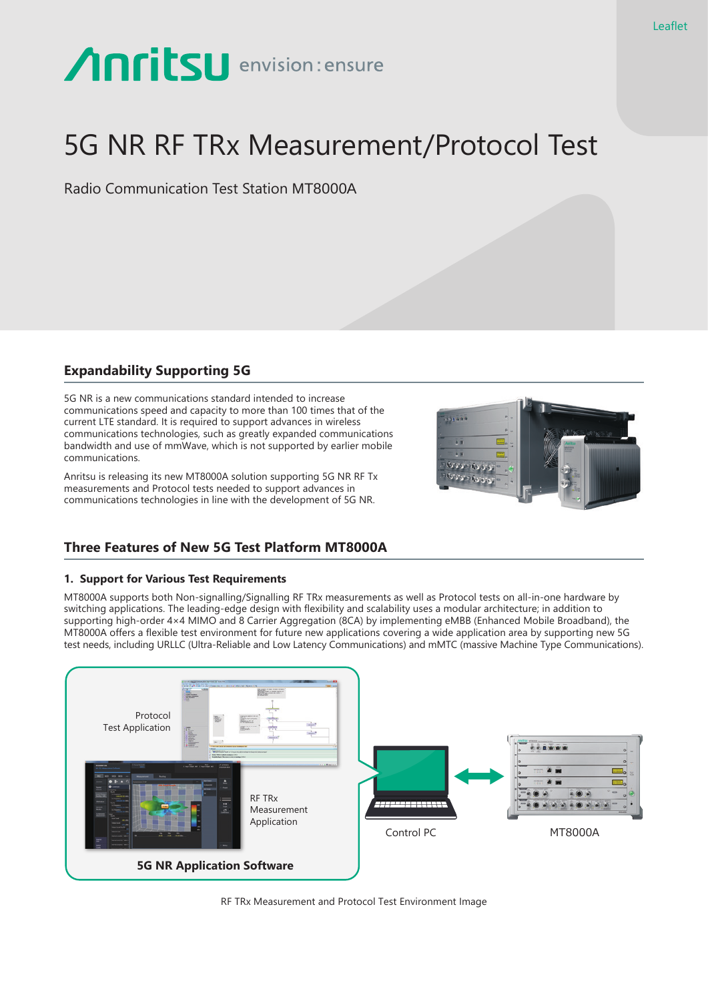# Anritsu envision: ensure

# 5G NR RF TRx Measurement/Protocol Test

Radio Communication Test Station MT8000A

# **Expandability Supporting 5G**

5G NR is a new communications standard intended to increase communications speed and capacity to more than 100 times that of the current LTE standard. It is required to support advances in wireless communications technologies, such as greatly expanded communications bandwidth and use of mmWave, which is not supported by earlier mobile communications.

Anritsu is releasing its new MT8000A solution supporting 5G NR RF Tx measurements and Protocol tests needed to support advances in communications technologies in line with the development of 5G NR.



## **Three Features of New 5G Test Platform MT8000A**

### **1. Support for Various Test Requirements**

MT8000A supports both Non-signalling/Signalling RF TRx measurements as well as Protocol tests on all-in-one hardware by switching applications. The leading-edge design with flexibility and scalability uses a modular architecture; in addition to supporting high-order 4×4 MIMO and 8 Carrier Aggregation (8CA) by implementing eMBB (Enhanced Mobile Broadband), the MT8000A offers a flexible test environment for future new applications covering a wide application area by supporting new 5G test needs, including URLLC (Ultra-Reliable and Low Latency Communications) and mMTC (massive Machine Type Communications).



RF TRx Measurement and Protocol Test Environment Image